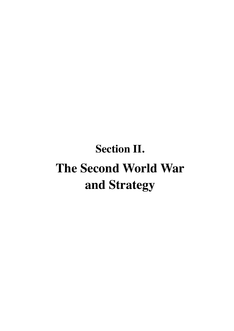# **Section II. The Second World War and Strategy**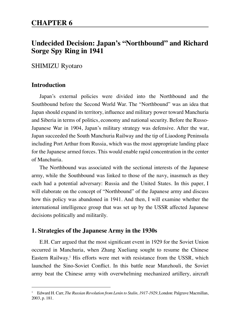# **CHAPTER 6**

# **Undecided Decision: Japan's "Northbound" and Richard Sorge Spy Ring in 1941**

# SHIMIZU Ryotaro

## **Introduction**

Japan's external policies were divided into the Northbound and the Southbound before the Second World War. The "Northbound" was an idea that Japan should expand its territory, influence and military power toward Manchuria and Siberia in terms of politics, economy and national security. Before the Russo-Japanese War in 1904, Japan's military strategy was defensive. After the war, Japan succeeded the South Manchuria Railway and the tip of Liaodong Peninsula including Port Arthur from Russia, which was the most appropriate landing place for the Japanese armed forces. This would enable rapid concentration in the center of Manchuria.

The Northbound was associated with the sectional interests of the Japanese army, while the Southbound was linked to those of the navy, inasmuch as they each had a potential adversary: Russia and the United States. In this paper, I will elaborate on the concept of "Northbound" of the Japanese army and discuss how this policy was abandoned in 1941. And then, I will examine whether the international intelligence group that was set up by the USSR affected Japanese decisions politically and militarily.

## **1. Strategies of the Japanese Army in the 1930s**

E.H. Carr argued that the most significant event in 1929 for the Soviet Union occurred in Manchuria, when Zhang Xueliang sought to resume the Chinese Eastern Railway.<sup>1</sup> His efforts were met with resistance from the USSR, which launched the Sino-Soviet Conflict. In this battle near Manzhouli, the Soviet army beat the Chinese army with overwhelming mechanized artillery, aircraft

<sup>&</sup>lt;sup>1</sup> Edward H. Carr, *The Russian Revolution from Lenin to Stalin*, 1917-1929, London: Palgrave Macmillan, 2003, p. 181.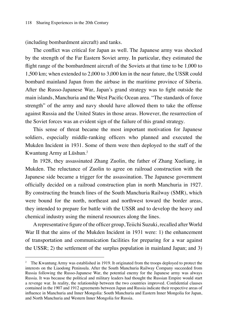(including bombardment aircraft) and tanks.

The conflict was critical for Japan as well. The Japanese army was shocked by the strength of the Far Eastern Soviet army. In particular, they estimated the flight range of the bombardment aircraft of the Soviets at that time to be 1,000 to 1,500 km; when extended to 2,000 to 3,000 km in the near future, the USSR could bombard mainland Japan from the airbase in the maritime province of Siberia. After the Russo-Japanese War, Japan's grand strategy was to fight outside the main islands, Manchuria and the West Pacific Ocean area. "The standards of force strength" of the army and navy should have allowed them to take the offense against Russia and the United States in those areas. However, the resurrection of the Soviet forces was an evident sign of the failure of this grand strategy.

This sense of threat became the most important motivation for Japanese soldiers, especially middle-ranking officers who planned and executed the Mukden Incident in 1931. Some of them were then deployed to the staff of the Kwantung Army at Lüshun.2

In 1928, they assassinated Zhang Zuolin, the father of Zhang Xueliang, in Mukden. The reluctance of Zuolin to agree on railroad construction with the Japanese side became a trigger for the assassination. The Japanese government officially decided on a railroad construction plan in north Manchuria in 1927. By constructing the branch lines of the South Manchuria Railway (SMR), which were bound for the north, northeast and northwest toward the border areas, they intended to prepare for battle with the USSR and to develop the heavy and chemical industry using the mineral resources along the lines.

A representative figure of the officer group, Teiichi Suzuki, recalled after World War II that the aims of the Mukden Incident in 1931 were: 1) the enhancement of transportation and communication facilities for preparing for a war against the USSR; 2) the settlement of the surplus population in mainland Japan; and 3)

<sup>&</sup>lt;sup>2</sup> The Kwantung Army was established in 1919. It originated from the troops deployed to protect the interests on the Liaodong Peninsula. After the South Manchuria Railway Company succeeded from Russia following the Russo-Japanese War, the potential enemy for the Japanese army was always Russia. It was because the political and military leaders had thought the Russian Empire would start a revenge war. In reality, the relationship between the two countries improved. Confidential clauses contained in the 1907 and 1912 agreements between Japan and Russia indicate their respective areas of influence in Manchuria and Inner Mongolia: South Manchuria and Eastern Inner Mongolia for Japan, and North Manchuria and Western Inner Mongolia for Russia.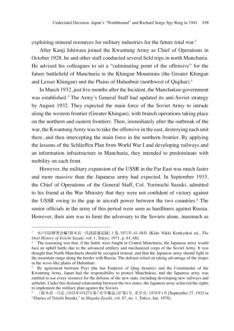exploiting mineral resources for military industries for the future total war.<sup>3</sup>

After Kanji Ishiwara joined the Kwantung Army as Chief of Operations in October 1928, he and other staff conducted several field trips in north Manchuria. He advised his colleagues to set a "culminating point of the offensive" for the future battlefield of Manchuria in the Khingan Mountains (the Greater Khingan and Lesser Khingan) and the Plains of Hulunbuir (northwest of Qiqihar).<sup>4</sup>

In March 1932, just five months after the Incident, the Manchukuo government was established.<sup>5</sup> The Army's General Staff had updated its anti-Soviet strategy by August 1932. They expected the main force of the Soviet Army to intrude along the western frontier (Greater Khingan), with branch operations taking place on the northern and eastern frontiers. Then, immediately after the outbreak of the war, the Kwantung Army was to take the offensive in the east, destroying each unit there, and then intercepting the main force in the northern frontier. By applying the lessons of the Schlieffen Plan from World War I and developing railways and an information infrastructure in Manchuria, they intended to predominate with mobility on each front.

However, the military expansion of the USSR in the Far East was much faster and more massive than the Japanese army had expected. In September 1933, the Chief of Operations of the General Staff, Col. Yorimichi Suzuki, admitted to his friend at the War Ministry that they were not confident of victory against the USSR owing to the gap in aircraft power between the two countries.<sup>6</sup> The senior officials in the army of this period were seen as hardliners against Russia. However, their aim was to limit the adversary to the Soviets alone, inasmuch as

<sup>3</sup> 木戸日記研究会編『鈴木貞一氏談話速記録』上巻、1971年、61、68頁 [Kido Nikki Kenkyukai ed., *The Oral History of Teiichi Suzuki*, vol. 1, Tokyo, 1971, p. 61, 68].

<sup>4</sup> The reasoning was that, if the battle were fought in Central Manchuria, the Japanese army would face an uphill battle due to the advanced artillery and mechanized corps of the Soviet Army. It was thought that North Manchuria should be occupied instead, and that the Japanese army should fight in the mountain range along the border with Russia. The defense relied on taking advantage of the slopes in the wave-like plains of Hulunbuir.

<sup>5</sup> By agreement between Puyi (the last Emperor of Qing dynasty) and the Commander of the Kwantung Army, Japan had the responsibility to protect Manchukuo, and the Japanese army was entitled to use every resource for the defense of the new state, including developing new railways and airfields. Under this fictional relationship between the two states, the Japanese army achieved the rights to implement the military plan against the Soviets.

<sup>6</sup> 「鈴木貞一日記」1933年9月27日条『史学雑誌』87巻1号、史学会、1978年1月 [September 27, 1933 in "Diaries of Teiichi Suzuki," in *Shigaku Zasshi*, vol. 87, no. 1, Tokyo, Jan. 1978].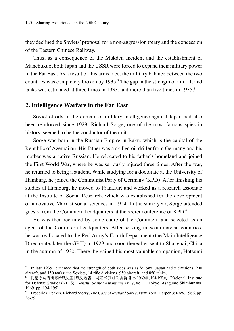they declined the Soviets' proposal for a non-aggression treaty and the concession of the Eastern Chinese Railway.

Thus, as a consequence of the Mukden Incident and the establishment of Manchukuo, both Japan and the USSR were forced to expand their military power in the Far East. As a result of this arms race, the military balance between the two countries was completely broken by 1935.7 The gap in the strength of aircraft and tanks was estimated at three times in 1933, and more than five times in 1935.<sup>8</sup>

### **2. Intelligence Warfare in the Far East**

Soviet efforts in the domain of military intelligence against Japan had also been reinforced since 1929. Richard Sorge, one of the most famous spies in history, seemed to be the conductor of the unit.

Sorge was born in the Russian Empire in Baku, which is the capital of the Republic of Azerbaijan. His father was a skilled oil driller from Germany and his mother was a native Russian. He relocated to his father's homeland and joined the First World War, where he was seriously injured three times. After the war, he returned to being a student. While studying for a doctorate at the University of Hamburg, he joined the Communist Party of Germany (KPD). After finishing his studies at Hamburg, he moved to Frankfurt and worked as a research associate at the Institute of Social Research, which was established for the development of innovative Marxist social sciences in 1924. In the same year, Sorge attended guests from the Comintern headquarters at the secret conference of KPD.<sup>9</sup>

He was then recruited by some cadre of the Comintern and selected as an agent of the Comintern headquarters. After serving in Scandinavian countries, he was reallocated to the Red Army's Fourth Department (the Main Intelligence Directorate, later the GRU) in 1929 and soon thereafter sent to Shanghai, China in the autumn of 1930. There, he gained his most valuable companion, Hotsumi

<sup>7</sup> In late 1935, it seemed that the strength of both sides was as follows: Japan had 5 divisions, 200 aircraft, and 150 tanks; the Soviets, 14 rifle divisions, 950 aircraft, and 850 tanks.

<sup>8</sup> 防衛庁防衛研修所戦史室『戦史叢書 関東軍〈1〉』朝雲新聞社、1969年、194-195頁 [National Institute for Defense Studies (NIDS), *Senshi Sosho: Kwantung Army*, vol. 1, Tokyo: Asagumo Shimbunsha, 1969, pp. 194-195].

<sup>9</sup> Frederick Deakin, Richard Storry, *The Case of Richard Sorge*, New York: Harper & Row, 1966, pp. 36-39.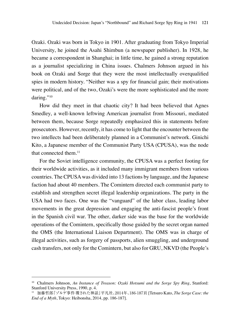Ozaki. Ozaki was born in Tokyo in 1901. After graduating from Tokyo Imperial University, he joined the Asahi Shimbun (a newspaper publisher). In 1928, he became a correspondent in Shanghai; in little time, he gained a strong reputation as a journalist specializing in China issues. Chalmers Johnson argued in his book on Ozaki and Sorge that they were the most intellectually overqualified spies in modern history. "Neither was a spy for financial gain; their motivations were political, and of the two, Ozaki's were the more sophisticated and the more daring."<sup>10</sup>

How did they meet in that chaotic city? It had been believed that Agnes Smedley, a well-known leftwing American journalist from Missouri, mediated between them, because Sorge repeatedly emphasized this in statements before prosecutors. However, recently, it has come to light that the encounter between the two intellects had been deliberately planned in a Communist's network. Ginichi Kito, a Japanese member of the Communist Party USA (CPUSA), was the node that connected them.<sup>11</sup>

For the Soviet intelligence community, the CPUSA was a perfect footing for their worldwide activities, as it included many immigrant members from various countries. The CPUSA was divided into 13 factions by language, and the Japanese faction had about 40 members. The Comintern directed each communist party to establish and strengthen secret illegal leadership organizations. The party in the USA had two faces. One was the "vanguard" of the labor class, leading labor movements in the great depression and engaging the anti-fascist people's front in the Spanish civil war. The other, darker side was the base for the worldwide operations of the Comintern, specifically those guided by the secret organ named the OMS (the International Liaison Department). The OMS was in charge of illegal activities, such as forgery of passports, alien smuggling, and underground cash transfers, not only for the Comintern, but also for GRU, NKVD (the People's

<sup>10</sup> Chalmers Johnson, *An Instance of Treason: Ozaki Hotsumi and the Sorge Spy Ring*, Stanford: Stanford University Press, 1990, p. 4.

<sup>11</sup> 加藤哲郎『ゾルゲ事件:覆された神話』平凡社、2014年、186-187頁 [Tetsuro Kato, *The Sorge Case: the End of a Myth*, Tokyo: Heibonsha, 2014, pp. 186-187].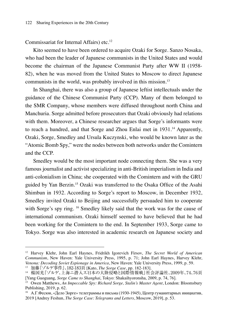Commissariat for Internal Affairs) etc.<sup>12</sup>

Kito seemed to have been ordered to acquire Ozaki for Sorge. Sanzo Nosaka, who had been the leader of Japanese communists in the United States and would become the chairman of the Japanese Communist Party after WW II (1958- 82), when he was moved from the United States to Moscow to direct Japanese communists in the world, was probably involved in this mission.<sup>13</sup>

In Shanghai, there was also a group of Japanese leftist intellectuals under the guidance of the Chinese Communist Party (CCP). Many of them belonged to the SMR Company, whose members were diffused throughout north China and Manchuria. Sorge admitted before prosecutors that Ozaki obviously had relations with them. Moreover, a Chinese researcher argues that Sorge's informants were to reach a hundred, and that Sorge and Zhou Enlai met in 1931.<sup>14</sup> Apparently, Ozaki, Sorge, Smedley and Ursula Kuczynski, who would be known later as the "Atomic Bomb Spy," were the nodes between both networks under the Comintern and the CCP.

Smedley would be the most important node connecting them. She was a very famous journalist and activist specializing in anti-British imperialism in India and anti-colonialism in China; she cooperated with the Comintern and with the GRU guided by Yan Berzin.<sup>15</sup> Ozaki was transferred to the Osaka Office of the Asahi Shimbun in 1932. According to Sorge's report to Moscow, in December 1932, Smedley invited Ozaki to Beijing and successfully persuaded him to cooperate with Sorge's spy ring. <sup>16</sup> Smedley likely said that the work was for the cause of international communism. Ozaki himself seemed to have believed that he had been working for the Comintern to the end. In September 1933, Sorge came to Tokyo. Sorge was also interested in academic research on Japanese society and

<sup>12</sup> Harvey Klehr, John Earl Haynes, Fridrikh Igorevich Firsov, *The Secret World of American Communism*, New Haven: Yale University Press, 1995, p. 71; John Earl Haynes, Harvey Klehr, *Venona: Decoding Soviet Espionage in America*, New Haven: Yale University Press, 1999, p. 59.

<sup>13</sup> 加藤『ゾルゲ事件』、182-183頁 [Kato, *The Sorge Case*, pp. 182-183].

<sup>14</sup> 楊国光『ゾルゲ、上海ニ潜入ス:日本の大陸侵略と国際情報戦』社会評論社、2009年、74、76頁 [Yang Guoguang, *Sorge Came to Shanghai*, Tokyo: Shakaihyoronsha, 2009, p. 74, 76].

<sup>15</sup> Owen Matthews, *An Impeccable Spy: Richard Sorge, Stalin's Master Agent*, London: Bloomsbury Publishing, 2019, p. 62.

<sup>16</sup> А.Г.Фесюн, «Дело Зорге» телеграммы и письма (1930-1945), Центр гуманитарных инициатив, 2019 [Andrey Feshun, *The Sorge Case: Telegrams and Letters*, Moscow, 2019], p. 53.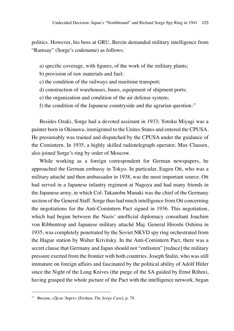politics. However, his boss at GRU, Berzin demanded military intelligence from "Ramsay" (Sorge's codename) as follows:

- a) specific coverage, with figures, of the work of the military plants;
- b) provision of raw materials and fuel;
- c) the condition of the railways and maritime transport;
- d) construction of warehouses, bases, equipment of shipment ports;
- e) the organization and condition of the air defense system;
- f) the condition of the Japanese countryside and the agrarian question.<sup>17</sup>

Besides Ozaki, Sorge had a devoted assistant in 1933; Yotoku Miyagi was a painter born in Okinawa, immigrated to the Unites States and entered the CPUSA. He presumably was trained and dispatched by the CPUSA under the guidance of the Comintern. In 1935, a highly skilled radiotelegraph operator, Max Clausen, also joined Sorge's ring by order of Moscow.

While working as a foreign correspondent for German newspapers, he approached the German embassy in Tokyo. In particular, Eugen Ott, who was a military attaché and then ambassador in 1938, was the most important source. Ott had served in a Japanese infantry regiment at Nagoya and had many friends in the Japanese army, in which Col. Takanobu Manaki was the chief of the Germany section of the General Staff. Sorge thus had much intelligence from Ott concerning the negotiations for the Anti-Comintern Pact signed in 1936. This negotiation, which had begun between the Nazis' unofficial diplomacy consultant Joachim von Ribbentrop and Japanese military attaché Maj. General Hiroshi Oshima in 1935, was completely penetrated by the Soviet NKVD spy ring orchestrated from the Hague station by Walter Krivitsky. In the Anti-Comintern Pact, there was a secret clause that Germany and Japan should not "entlasten" [reduce] the military pressure exerted from the frontier with both countries. Joseph Stalin, who was still immature on foreign affairs and fascinated by the political ability of Adolf Hitler since the Night of the Long Knives (the purge of the SA guided by Ernst Röhm), having grasped the whole picture of the Pact with the intelligence network, began

<sup>17</sup> Фесюн, «Дело Зорге» [Feshun, *The Sorge Case*], p. 79.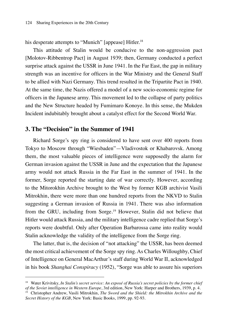his desperate attempts to "Munich" [appease] Hitler.<sup>18</sup>

This attitude of Stalin would be conducive to the non-aggression pact [Molotov-Ribbentrop Pact] in August 1939; then, Germany conducted a perfect surprise attack against the USSR in June 1941. In the Far East, the gap in military strength was an incentive for officers in the War Ministry and the General Staff to be allied with Nazi Germany. This trend resulted in the Tripartite Pact in 1940. At the same time, the Nazis offered a model of a new socio-economic regime for officers in the Japanese army. This movement led to the collapse of party politics and the New Structure headed by Fumimaro Konoye. In this sense, the Mukden Incident indubitably brought about a catalyst effect for the Second World War.

### **3. The "Decision" in the Summer of 1941**

Richard Sorge's spy ring is considered to have sent over 400 reports from Tokyo to Moscow through "Wiesbaden"—Vladivostok or Khabarovsk. Among them, the most valuable pieces of intelligence were supposedly the alarm for German invasion against the USSR in June and the expectation that the Japanese army would not attack Russia in the Far East in the summer of 1941. In the former, Sorge reported the starting date of war correctly. However, according to the Mitorokhin Archive brought to the West by former KGB archivist Vasili Mitrokhin, there were more than one hundred reports from the NKVD to Stalin suggesting a German invasion of Russia in 1941. There was also information from the GRU, including from Sorge.<sup>19</sup> However, Stalin did not believe that Hitler would attack Russia, and the military intelligence cadre replied that Sorge's reports were doubtful. Only after Operation Barbarossa came into reality would Stalin acknowledge the validity of the intelligence from the Sorge ring.

The latter, that is, the decision of "not attacking" the USSR, has been deemed the most critical achievement of the Sorge spy ring. As Charles Willoughby, Chief of Intelligence on General MacArthur's staff during World War II, acknowledged in his book *Shanghai Conspiracy* (1952), "Sorge was able to assure his superiors

<sup>18</sup> Water Krivitsky, *In Stalin's secret service: An exposé of Russia's secret policies by the former chief of the Soviet intelligence in Western Europe*, 3rd edition, New York: Harper and Brothers, 1939, p. 4.

<sup>19</sup> Christopher Andrew, Vasili Mitrokhin, *The Sword and the Shield: the Mitrokhin Archive and the Secret History of the KGB*, New York: Basic Books, 1999, pp. 92-93.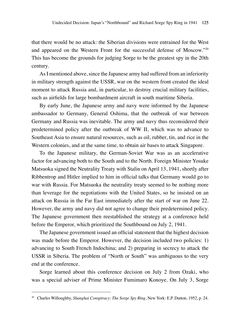that there would be no attack: the Siberian divisions were entrained for the West and appeared on the Western Front for the successful defense of Moscow."20 This has become the grounds for judging Sorge to be the greatest spy in the 20th century.

As I mentioned above, since the Japanese army had suffered from an inferiority in military strength against the USSR, war on the western front created the ideal moment to attack Russia and, in particular, to destroy crucial military facilities, such as airfields for large bombardment aircraft in south maritime Siberia.

By early June, the Japanese army and navy were informed by the Japanese ambassador to Germany, General Oshima, that the outbreak of war between Germany and Russia was inevitable. The army and navy thus reconsidered their predetermined policy after the outbreak of WW II, which was to advance to Southeast Asia to ensure natural resources, such as oil, rubber, tin, and rice in the Western colonies, and at the same time, to obtain air bases to attack Singapore.

To the Japanese military, the German-Soviet War was as an accelerative factor for advancing both to the South and to the North. Foreign Minister Yosuke Matsuoka signed the Neutrality Treaty with Stalin on April 13, 1941, shortly after Ribbentrop and Hitler implied to him in official talks that Germany would go to war with Russia. For Matsuoka the neutrality treaty seemed to be nothing more than leverage for the negotiations with the United States, so he insisted on an attack on Russia in the Far East immediately after the start of war on June 22. However, the army and navy did not agree to change their predetermined policy. The Japanese government then reestablished the strategy at a conference held before the Emperor, which prioritized the Southbound on July 2, 1941.

The Japanese government issued an official statement that the highest decision was made before the Emperor. However, the decision included two policies: 1) advancing to South French Indochina; and 2) preparing in secrecy to attack the USSR in Siberia. The problem of "North or South" was ambiguous to the very end at the conference.

Sorge learned about this conference decision on July 2 from Ozaki, who was a special adviser of Prime Minister Fumimaro Konoye. On July 3, Sorge

<sup>20</sup> Charles Willoughby, *Shanghai Conspiracy: The Sorge Spy Ring*, New York: E.P. Dutton, 1952, p. 24.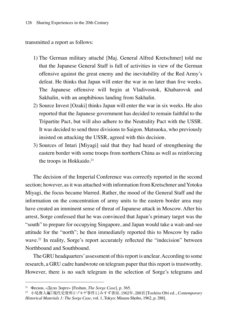transmitted a report as follows:

- 1) The German military attaché [Maj. General Alfred Kretschmer] told me that the Japanese General Staff is full of activities in view of the German offensive against the great enemy and the inevitability of the Red Army's defeat. He thinks that Japan will enter the war in no later than five weeks. The Japanese offensive will begin at Vladivostok, Khabarovsk and Sakhalin, with an amphibious landing from Sakhalin.
- 2) Source Invest [Ozaki] thinks Japan will enter the war in six weeks. He also reported that the Japanese government has decided to remain faithful to the Tripartite Pact, but will also adhere to the Neutrality Pact with the USSR. It was decided to send three divisions to Saigon. Matsuoka, who previously insisted on attacking the USSR, agreed with this decision.
- 3) Sources of Intari [Miyagi] said that they had heard of strengthening the eastern border with some troops from northern China as well as reinforcing the troops in Hokkaido.<sup>21</sup>

The decision of the Imperial Conference was correctly reported in the second section; however, as it was attached with information from Kretschmer and Yotoku Miyagi, the focus became blurred. Rather, the mood of the General Staff and the information on the concentration of army units to the eastern border area may have created an imminent sense of threat of Japanese attack in Moscow. After his arrest, Sorge confessed that he was convinced that Japan's primary target was the "south" to prepare for occupying Singapore, and Japan would take a wait-and-see attitude for the "north"; he then immediately reported this to Moscow by radio wave.<sup>22</sup> In reality, Sorge's report accurately reflected the "indecision" between Northbound and Southbound.

The GRU headquarters' assessment of this report is unclear. According to some research, a GRU cadre handwrote on telegram paper that this report is trustworthy. However, there is no such telegram in the selection of Sorge's telegrams and

<sup>21</sup> Фесюн, «Дело Зорге» [Feshun, *The Sorge Case*], p. 365. 22 小尾俊人編『現代史資料1:ゾルゲ事件1』みすず書房、1962年、288頁 [Toshito Obi ed., *Contemporary Historical Materials 1: The Sorge Case*, vol. 1, Tokyo: Misuzu Shobo, 1962, p. 288].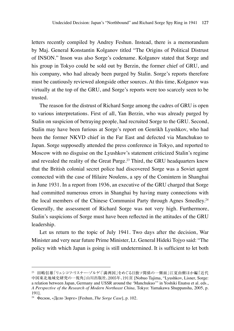letters recently compiled by Andrey Feshun. Instead, there is a memorandum by Maj. General Konstantin Kolganov titled "The Origins of Political Distrust of INSON." Inson was also Sorge's codename. Kolganov stated that Sorge and his group in Tokyo could be sold out by Berzin, the former chief of GRU, and his company, who had already been purged by Stalin. Sorge's reports therefore must be cautiously reviewed alongside other sources. At this time, Kolganov was virtually at the top of the GRU, and Sorge's reports were too scarcely seen to be trusted.

The reason for the distrust of Richard Sorge among the cadres of GRU is open to various interpretations. First of all, Yan Berzin, who was already purged by Stalin on suspicion of betraying people, had recruited Sorge to the GRU. Second, Stalin may have been furious at Sorge's report on Genrikh Lyushkov, who had been the former NKVD chief in the Far East and defected via Manchukuo to Japan. Sorge supposedly attended the press conference in Tokyo, and reported to Moscow with no disguise on the Lyushkov's statement criticized Stalin's regime and revealed the reality of the Great Purge.<sup>23</sup> Third, the GRU headquarters knew that the British colonial secret police had discovered Sorge was a Soviet agent connected with the case of Hilaire Noulens, a spy of the Comintern in Shanghai in June 1931. In a report from 1936, an executive of the GRU charged that Sorge had committed numerous errors in Shanghai by having many connections with the local members of the Chinese Communist Party through Agnes Smedley.<sup>24</sup> Generally, the assessment of Richard Sorge was not very high. Furthermore, Stalin's suspicions of Sorge must have been reflected in the attitudes of the GRU leadership.

Let us return to the topic of July 1941. Two days after the decision, War Minister and very near future Prime Minister, Lt. General Hideki Tojyo said: "The policy with which Japan is going is still undetermined. It is sufficient to let both

<sup>23</sup> 田嶋信雄「リュシコフ・リスナー・ゾルゲ:「満洲国」をめぐる日独ソ関係の一側面」江夏由樹ほか編『近代 中国東北地域史研究の一視角』山川出版社、2005年、191頁 [Nobuo Tajima, "Lyushkov, Lisner, Sorge: a relation between Japan, Germany and USSR around the 'Manchukuo'" in Yoshiki Enatsu et al. eds., *A Perspective of the Research of Modern Northeast China,* Tokyo: Yamakawa Shuppansha, 2005, p. 191].

<sup>24</sup> Фесюн, «Дело Зорге» [Feshun, *The Sorge Case*], p. 102.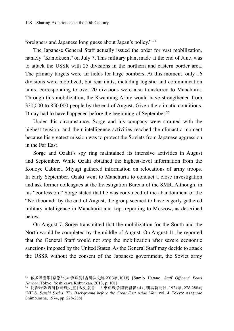foreigners and Japanese long guess about Japan's policy." 25

The Japanese General Staff actually issued the order for vast mobilization, namely "Kantokuen," on July 7. This military plan, made at the end of June, was to attack the USSR with 25 divisions in the northern and eastern border area. The primary targets were air fields for large bombers. At this moment, only 16 divisions were mobilized, but rear units, including logistic and communication units, corresponding to over 20 divisions were also transferred to Manchuria. Through this mobilization, the Kwantung Army would have strengthened from 330,000 to 850,000 people by the end of August. Given the climatic conditions, D-day had to have happened before the beginning of September.<sup>26</sup>

Under this circumstance, Sorge and his company were strained with the highest tension, and their intelligence activities reached the climactic moment because his greatest mission was to protect the Soviets from Japanese aggression in the Far East.

Sorge and Ozaki's spy ring maintained its intensive activities in August and September. While Ozaki obtained the highest-level information from the Konoye Cabinet, Miyagi gathered information on relocations of army troops. In early September, Ozaki went to Manchuria to conduct a close investigation and ask former colleagues at the Investigation Bureau of the SMR. Although, in his "confession," Sorge stated that he was convinced of the abandonment of the "Northbound" by the end of August, the group seemed to have eagerly gathered military intelligence in Manchuria and kept reporting to Moscow, as described below.

On August 7, Sorge transmitted that the mobilization for the South and the North would be completed by the middle of August. On August 11, he reported that the General Staff would not stop the mobilization after severe economic sanctions imposed by the United States. As the General Staff may decide to attack the USSR without the consent of the Japanese government, the Soviet army

<sup>25</sup> 波多野澄雄『幕僚たちの真珠湾』吉川弘文館、2013年、101頁 [Sumio Hatano, *Staff Officers' Pearl Harbor*, Tokyo: Yoshikawa Kobunkan, 2013, p. 101].

<sup>26</sup> 防衛庁防衛研修所戦史室『戦史叢書 大東亜戦争開戦経緯〈4〉』朝雲新聞社、1974年、278-288頁 [NIDS, *Senshi Sosho: The Background before the Great East Asian War*, vol. 4, Tokyo: Asagumo Shimbunsha, 1974, pp. 278-288].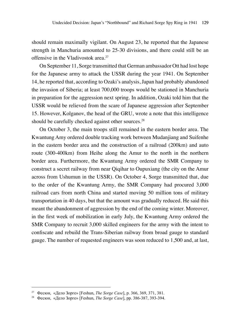should remain maximally vigilant. On August 23, he reported that the Japanese strength in Manchuria amounted to 25-30 divisions, and there could still be an offensive in the Vladivostok area.27

On September 11, Sorge transmitted that German ambassador Ott had lost hope for the Japanese army to attack the USSR during the year 1941. On September 14, he reported that, according to Ozaki's analysis, Japan had probably abandoned the invasion of Siberia; at least 700,000 troops would be stationed in Manchuria in preparation for the aggression next spring. In addition, Ozaki told him that the USSR would be relieved from the scare of Japanese aggression after September 15. However, Kolganov, the head of the GRU, wrote a note that this intelligence should be carefully checked against other sources.<sup>28</sup>

On October 3, the main troops still remained in the eastern border area. The Kwantung Amy ordered double tracking work between Mudanjiang and Suifenhe in the eastern border area and the construction of a railroad (200km) and auto route (300-400km) from Heihe along the Amur to the north in the northern border area. Furthermore, the Kwantung Army ordered the SMR Company to construct a secret railway from near Qiqihar to Oupuxiang (the city on the Amur across from Ushumun in the USSR). On October 4, Sorge transmitted that, due to the order of the Kwantung Army, the SMR Company had procured 3,000 railroad cars from north China and started moving 50 million tons of military transportation in 40 days, but that the amount was gradually reduced. He said this meant the abandonment of aggression by the end of the coming winter. Moreover, in the first week of mobilization in early July, the Kwantung Army ordered the SMR Company to recruit 3,000 skilled engineers for the army with the intent to confiscate and rebuild the Trans-Siberian railway from broad gauge to standard gauge. The number of requested engineers was soon reduced to 1,500 and, at last,

<sup>27</sup> Фесюн, «Дело Зорге» [Feshun, *The Sorge Case*], p. 366, 369, 371, 381.

<sup>28</sup> Фесюн, «Дело Зорге» [Feshun, *The Sorge Case*], pp. 386-387, 393-394.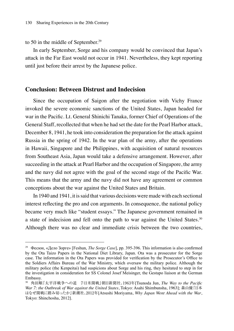#### to 50 in the middle of September.<sup>29</sup>

In early September, Sorge and his company would be convinced that Japan's attack in the Far East would not occur in 1941. Nevertheless, they kept reporting until just before their arrest by the Japanese police.

### **Conclusion: Between Distrust and Indecision**

Since the occupation of Saigon after the negotiation with Vichy France invoked the severe economic sanctions of the United States, Japan headed for war in the Pacific. Lt. General Shinichi Tanaka, former Chief of Operations of the General Staff, recollected that when he had set the date for the Pearl Harbor attack, December 8, 1941, he took into consideration the preparation for the attack against Russia in the spring of 1942. In the war plan of the army, after the operations in Hawaii, Singapore and the Philippines, with acquisition of natural resources from Southeast Asia, Japan would take a defensive arrangement. However, after succeeding in the attack at Pearl Harbor and the occupation of Singapore, the army and the navy did not agree with the goal of the second stage of the Pacific War. This means that the army and the navy did not have any agreement or common conceptions about the war against the United States and Britain.

In 1940 and 1941, it is said that various decisions were made with each sectional interest reflecting the pro and con arguments. In consequence, the national policy became very much like "student essays." The Japanese government remained in a state of indecision and fell onto the path to war against the United States.30 Although there was no clear and immediate crisis between the two countries,

<sup>29</sup> Фесюн, «Дело Зорге» [Feshun, *The Sorge Case*], pp. 395-396. This information is also confirmed by the Ota Taizo Papers in the National Diet Library, Japan. Ota was a prosecutor for the Sorge case. The information in the Ota Papers was provided for verification by the Prosecutor's Office to the Soldiers Affairs Bureau of the War Ministry, which oversaw the military police. Although the military police (the Kenpeitai) had suspicions about Sorge and his ring, they hesitated to step in for the investigation in consideration for SS Colonel Josef Meisinger, the Gestapo liaison at the German Embassy.

<sup>30</sup> 角田順『太平洋戦争への道 7:日米開戦』朝日新聞社、1963年[Tsunoda Jun, *The Way to the Pacific War 7: the Outbreak of War against the United States*, Tokyo: Asahi Shimbunsha, 1963]; 森山優『日本 はなぜ開戦に踏み切ったか』新潮社、2012年[Atsushi Moriyama, *Why Japan Went Ahead with the War*, Tokyo: Shinchosha, 2012].